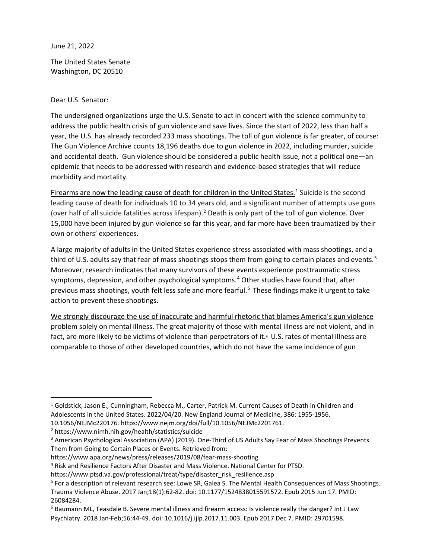June 21, 2022

The United States Senate Washington, DC 20510

Dear U.S. Senator:

The undersigned organizations urge the U.S. Senate to act in concert with the science community to address the public health crisis of gun violence and save lives. Since the start of 2022, less than half a year, the U.S. has already recorded 233 mass shootings. The toll of gun violence is far greater, of course: The Gun Violence Archive counts 18,196 deaths due to gun violence in 2022, including murder, suicide and accidental death. Gun violence should be considered a public health issue, not a political one—an epidemic that needs to be addressed with research and evidence-based strategies that will reduce morbidity and mortality.

Firearms are now the leading cause of death for children in the United States.<sup>[1](#page-0-0)</sup> Suicide is the second leading cause of death for individuals 10 to 34 years old, and a significant number of attempts use guns (over half of all suicide fatalities across lifespan).<sup>[2](#page-0-1)</sup> Death is only part of the toll of gun violence. Over 15,000 have been injured by gun violence so far this year, and far more have been traumatized by their own or others' experiences.

A large majority of adults in the United States experience stress associated with mass shootings, and a third of U.S. adults say that fear of mass shootings stops them from going to certain places and events.<sup>[3](#page-0-2)</sup> Moreover, research indicates that many survivors of these events experience posttraumatic stress symptoms, depression, and other psychological symptoms.<sup>[4](#page-0-3)</sup> Other studies have found that, after previous mass shootings, youth felt less safe and more fearful.<sup>[5](#page-0-4)</sup> These findings make it urgent to take action to prevent these shootings.

We strongly discourage the use of inaccurate and harmful rhetoric that blames America's gun violence problem solely on mental illness. The great majority of those with mental illness are not violent, and in fact, are more likely to be victims of violence than perpetrators of it.<sup>[6](#page-0-5)</sup> U.S. rates of mental illness are comparable to those of other developed countries, which do not have the same incidence of gun

<span id="page-0-0"></span><sup>1</sup> Goldstick, Jason E., Cunningham, Rebecca M., Carter, Patrick M. Current Causes of Death in Children and Adolescents in the United States. 2022/04/20. New England Journal of Medicine, 386: 1955-1956.

<sup>10.1056/</sup>NEJMc220176. https://www.nejm.org/doi/full/10.1056/NEJMc2201761.

<span id="page-0-1"></span><sup>2</sup> https://www.nimh.nih.gov/health/statistics/suicide

<span id="page-0-2"></span><sup>&</sup>lt;sup>3</sup> American Psychological Association (APA) (2019). One-Third of US Adults Say Fear of Mass Shootings Prevents Them from Going to Certain Places or Events. Retrieved from:

https://www.apa.org/news/press/releases/2019/08/fear-mass-shooting

<span id="page-0-3"></span><sup>4</sup> Risk and Resilience Factors After Disaster and Mass Violence. National Center for PTSD.

https://www.ptsd.va.gov/professional/treat/type/disaster\_risk\_resilience.asp

<span id="page-0-4"></span><sup>5</sup> For a description of relevant research see: Lowe SR, Galea S. The Mental Health Consequences of Mass Shootings. Trauma Violence Abuse. 2017 Jan;18(1):62-82. doi: 10.1177/1524838015591572. Epub 2015 Jun 17. PMID: 26084284.

<span id="page-0-5"></span><sup>6</sup> Baumann ML, Teasdale B. Severe mental illness and firearm access: Is violence really the danger? Int J Law Psychiatry. 2018 Jan-Feb;56:44-49. doi: 10.1016/j.ijlp.2017.11.003. Epub 2017 Dec 7. PMID: 29701598.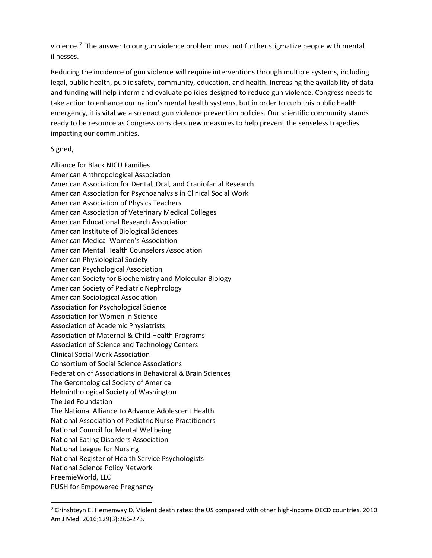violence.<sup>[7](#page-1-0)</sup> The answer to our gun violence problem must not further stigmatize people with mental illnesses.

Reducing the incidence of gun violence will require interventions through multiple systems, including legal, public health, public safety, community, education, and health. Increasing the availability of data and funding will help inform and evaluate policies designed to reduce gun violence. Congress needs to take action to enhance our nation's mental health systems, but in order to curb this public health emergency, it is vital we also enact gun violence prevention policies. Our scientific community stands ready to be resource as Congress considers new measures to help prevent the senseless tragedies impacting our communities.

## Signed,

Alliance for Black NICU Families American Anthropological Association American Association for Dental, Oral, and Craniofacial Research American Association for Psychoanalysis in Clinical Social Work American Association of Physics Teachers American Association of Veterinary Medical Colleges American Educational Research Association American Institute of Biological Sciences American Medical Women's Association American Mental Health Counselors Association American Physiological Society American Psychological Association American Society for Biochemistry and Molecular Biology American Society of Pediatric Nephrology American Sociological Association Association for Psychological Science Association for Women in Science Association of Academic Physiatrists Association of Maternal & Child Health Programs Association of Science and Technology Centers Clinical Social Work Association Consortium of Social Science Associations Federation of Associations in Behavioral & Brain Sciences The Gerontological Society of America Helminthological Society of Washington The Jed Foundation The National Alliance to Advance Adolescent Health National Association of Pediatric Nurse Practitioners National Council for Mental Wellbeing National Eating Disorders Association National League for Nursing National Register of Health Service Psychologists National Science Policy Network PreemieWorld, LLC PUSH for Empowered Pregnancy

<span id="page-1-0"></span><sup>7</sup> Grinshteyn E, Hemenway D. Violent death rates: the US compared with other high-income OECD countries, 2010. Am J Med. 2016;129(3):266-273.